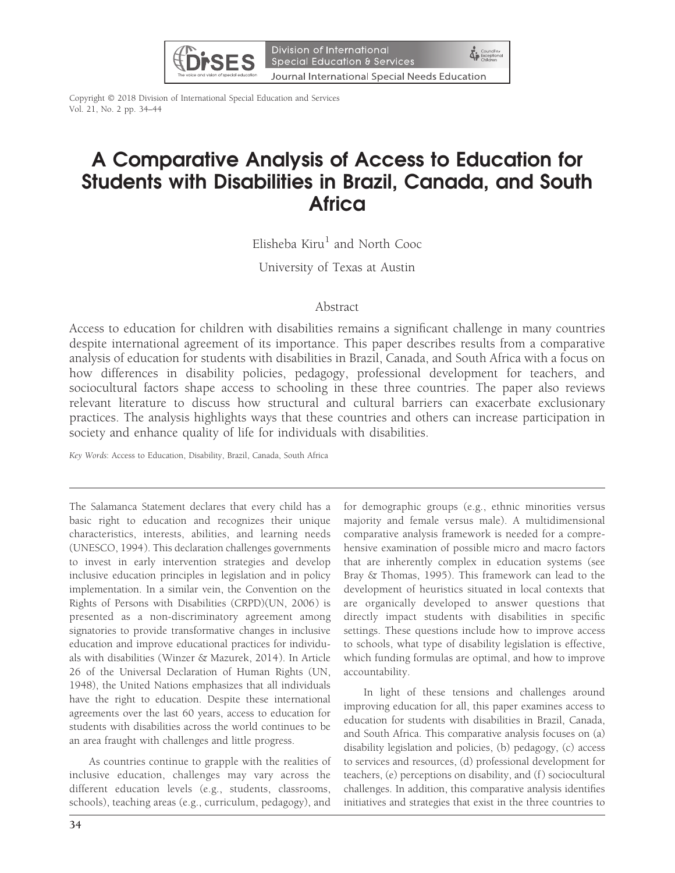

Copyright © 2018 Division of International Special Education and Services Vol. 21, No. 2 pp. 34–44

# A Comparative Analysis of Access to Education for Students with Disabilities in Brazil, Canada, and South **Africa**

Elisheba  $Kiru<sup>1</sup>$  and North Cooc

University of Texas at Austin

# Abstract

Access to education for children with disabilities remains a significant challenge in many countries despite international agreement of its importance. This paper describes results from a comparative analysis of education for students with disabilities in Brazil, Canada, and South Africa with a focus on how differences in disability policies, pedagogy, professional development for teachers, and sociocultural factors shape access to schooling in these three countries. The paper also reviews relevant literature to discuss how structural and cultural barriers can exacerbate exclusionary practices. The analysis highlights ways that these countries and others can increase participation in society and enhance quality of life for individuals with disabilities.

Key Words: Access to Education, Disability, Brazil, Canada, South Africa

The Salamanca Statement declares that every child has a basic right to education and recognizes their unique characteristics, interests, abilities, and learning needs (UNESCO, 1994). This declaration challenges governments to invest in early intervention strategies and develop inclusive education principles in legislation and in policy implementation. In a similar vein, the Convention on the Rights of Persons with Disabilities (CRPD)(UN, 2006) is presented as a non-discriminatory agreement among signatories to provide transformative changes in inclusive education and improve educational practices for individuals with disabilities (Winzer & Mazurek, 2014). In Article 26 of the Universal Declaration of Human Rights (UN, 1948), the United Nations emphasizes that all individuals have the right to education. Despite these international agreements over the last 60 years, access to education for students with disabilities across the world continues to be an area fraught with challenges and little progress.

As countries continue to grapple with the realities of inclusive education, challenges may vary across the different education levels (e.g., students, classrooms, schools), teaching areas (e.g., curriculum, pedagogy), and

for demographic groups (e.g., ethnic minorities versus majority and female versus male). A multidimensional comparative analysis framework is needed for a comprehensive examination of possible micro and macro factors that are inherently complex in education systems (see Bray & Thomas, 1995). This framework can lead to the development of heuristics situated in local contexts that are organically developed to answer questions that directly impact students with disabilities in specific settings. These questions include how to improve access to schools, what type of disability legislation is effective, which funding formulas are optimal, and how to improve accountability.

In light of these tensions and challenges around improving education for all, this paper examines access to education for students with disabilities in Brazil, Canada, and South Africa. This comparative analysis focuses on (a) disability legislation and policies, (b) pedagogy, (c) access to services and resources, (d) professional development for teachers, (e) perceptions on disability, and (f) sociocultural challenges. In addition, this comparative analysis identifies initiatives and strategies that exist in the three countries to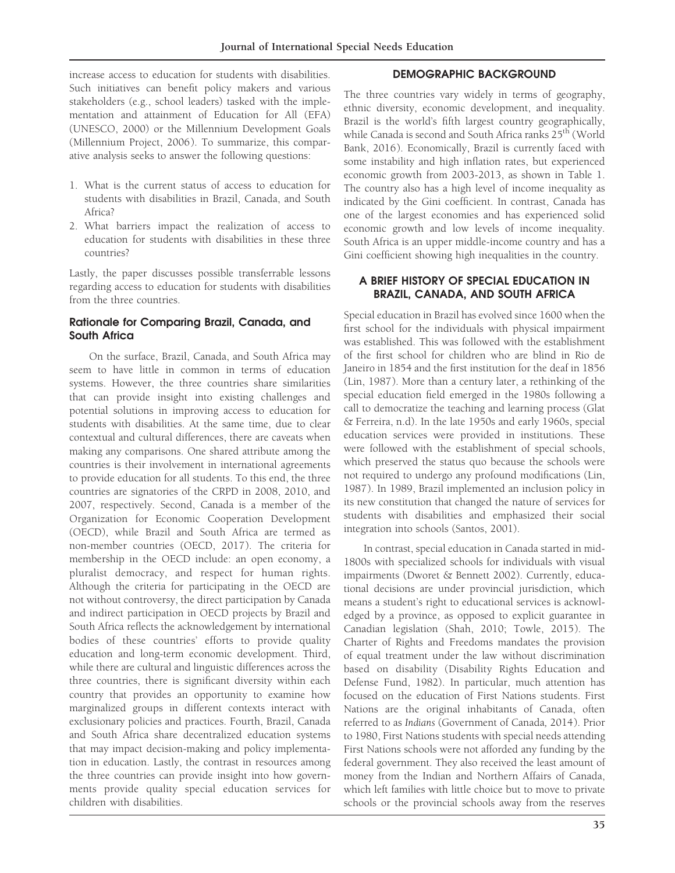increase access to education for students with disabilities. Such initiatives can benefit policy makers and various stakeholders (e.g., school leaders) tasked with the implementation and attainment of Education for All (EFA) (UNESCO, 2000) or the Millennium Development Goals (Millennium Project, 2006). To summarize, this comparative analysis seeks to answer the following questions:

- 1. What is the current status of access to education for students with disabilities in Brazil, Canada, and South Africa?
- 2. What barriers impact the realization of access to education for students with disabilities in these three countries?

Lastly, the paper discusses possible transferrable lessons regarding access to education for students with disabilities from the three countries.

## Rationale for Comparing Brazil, Canada, and South Africa

On the surface, Brazil, Canada, and South Africa may seem to have little in common in terms of education systems. However, the three countries share similarities that can provide insight into existing challenges and potential solutions in improving access to education for students with disabilities. At the same time, due to clear contextual and cultural differences, there are caveats when making any comparisons. One shared attribute among the countries is their involvement in international agreements to provide education for all students. To this end, the three countries are signatories of the CRPD in 2008, 2010, and 2007, respectively. Second, Canada is a member of the Organization for Economic Cooperation Development (OECD), while Brazil and South Africa are termed as non-member countries (OECD, 2017). The criteria for membership in the OECD include: an open economy, a pluralist democracy, and respect for human rights. Although the criteria for participating in the OECD are not without controversy, the direct participation by Canada and indirect participation in OECD projects by Brazil and South Africa reflects the acknowledgement by international bodies of these countries' efforts to provide quality education and long-term economic development. Third, while there are cultural and linguistic differences across the three countries, there is significant diversity within each country that provides an opportunity to examine how marginalized groups in different contexts interact with exclusionary policies and practices. Fourth, Brazil, Canada and South Africa share decentralized education systems that may impact decision-making and policy implementation in education. Lastly, the contrast in resources among the three countries can provide insight into how governments provide quality special education services for children with disabilities.

## DEMOGRAPHIC BACKGROUND

The three countries vary widely in terms of geography, ethnic diversity, economic development, and inequality. Brazil is the world's fifth largest country geographically, while Canada is second and South Africa ranks 25<sup>th</sup> (World Bank, 2016). Economically, Brazil is currently faced with some instability and high inflation rates, but experienced economic growth from 2003-2013, as shown in Table 1. The country also has a high level of income inequality as indicated by the Gini coefficient. In contrast, Canada has one of the largest economies and has experienced solid economic growth and low levels of income inequality. South Africa is an upper middle-income country and has a Gini coefficient showing high inequalities in the country.

## A BRIEF HISTORY OF SPECIAL EDUCATION IN BRAZIL, CANADA, AND SOUTH AFRICA

Special education in Brazil has evolved since 1600 when the first school for the individuals with physical impairment was established. This was followed with the establishment of the first school for children who are blind in Rio de Janeiro in 1854 and the first institution for the deaf in 1856 (Lin, 1987). More than a century later, a rethinking of the special education field emerged in the 1980s following a call to democratize the teaching and learning process (Glat & Ferreira, n.d). In the late 1950s and early 1960s, special education services were provided in institutions. These were followed with the establishment of special schools, which preserved the status quo because the schools were not required to undergo any profound modifications (Lin, 1987). In 1989, Brazil implemented an inclusion policy in its new constitution that changed the nature of services for students with disabilities and emphasized their social integration into schools (Santos, 2001).

In contrast, special education in Canada started in mid-1800s with specialized schools for individuals with visual impairments (Dworet & Bennett 2002). Currently, educational decisions are under provincial jurisdiction, which means a student's right to educational services is acknowledged by a province, as opposed to explicit guarantee in Canadian legislation (Shah, 2010; Towle, 2015). The Charter of Rights and Freedoms mandates the provision of equal treatment under the law without discrimination based on disability (Disability Rights Education and Defense Fund, 1982). In particular, much attention has focused on the education of First Nations students. First Nations are the original inhabitants of Canada, often referred to as Indians (Government of Canada, 2014). Prior to 1980, First Nations students with special needs attending First Nations schools were not afforded any funding by the federal government. They also received the least amount of money from the Indian and Northern Affairs of Canada, which left families with little choice but to move to private schools or the provincial schools away from the reserves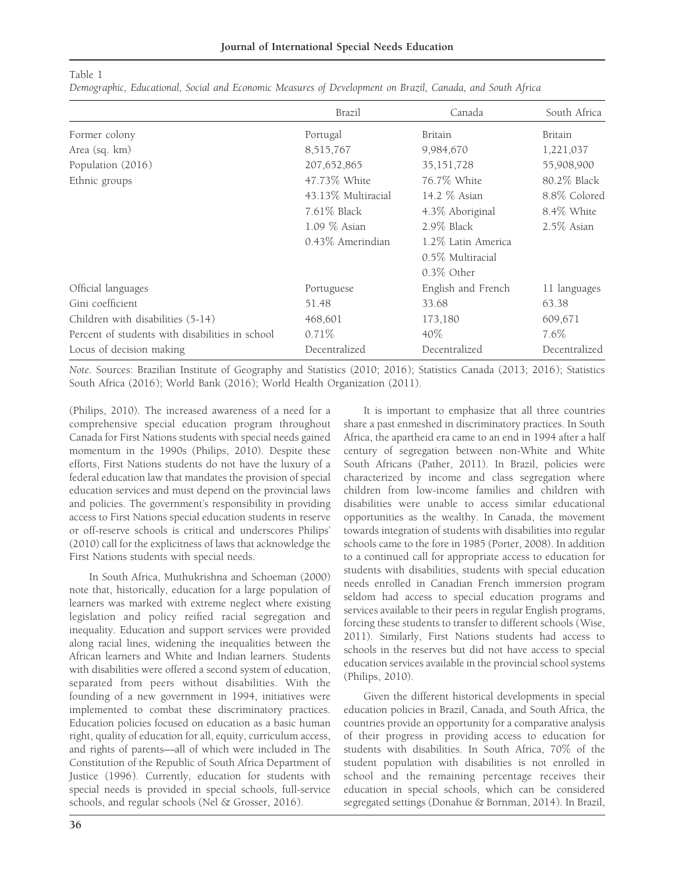Table 1

Demographic, Educational, Social and Economic Measures of Development on Brazil, Canada, and South Africa

|                                                 | Brazil             | Canada             | South Africa  |
|-------------------------------------------------|--------------------|--------------------|---------------|
| Former colony                                   | Portugal           | Britain            | Britain       |
| Area (sq. km)                                   | 8,515,767          | 9,984,670          | 1,221,037     |
| Population (2016)                               | 207, 652, 865      | 35, 151, 728       | 55,908,900    |
| Ethnic groups                                   | 47.73% White       | 76.7% White        | 80.2% Black   |
|                                                 | 43.13% Multiracial | 14.2 % Asian       | 8.8% Colored  |
|                                                 | $7.61\%$ Black     | 4.3% Aboriginal    | 8.4% White    |
|                                                 | $1.09\%$ Asian     | $2.9\%$ Black      | $2.5\%$ Asian |
|                                                 | 0.43% Amerindian   | 1.2% Latin America |               |
|                                                 |                    | 0.5% Multiracial   |               |
|                                                 |                    | $0.3\%$ Other      |               |
| Official languages                              | Portuguese         | English and French | 11 languages  |
| Gini coefficient                                | 51.48              | 33.68              | 63.38         |
| Children with disabilities (5-14)               | 468,601            | 173,180            | 609,671       |
| Percent of students with disabilities in school | $0.71\%$           | $40\%$             | 7.6%          |
| Locus of decision making                        | Decentralized      | Decentralized      | Decentralized |

Note. Sources: Brazilian Institute of Geography and Statistics (2010; 2016); Statistics Canada (2013; 2016); Statistics South Africa (2016); World Bank (2016); World Health Organization (2011).

(Philips, 2010). The increased awareness of a need for a comprehensive special education program throughout Canada for First Nations students with special needs gained momentum in the 1990s (Philips, 2010). Despite these efforts, First Nations students do not have the luxury of a federal education law that mandates the provision of special education services and must depend on the provincial laws and policies. The government's responsibility in providing access to First Nations special education students in reserve or off-reserve schools is critical and underscores Philips' (2010) call for the explicitness of laws that acknowledge the First Nations students with special needs.

In South Africa, Muthukrishna and Schoeman (2000) note that, historically, education for a large population of learners was marked with extreme neglect where existing legislation and policy reified racial segregation and inequality. Education and support services were provided along racial lines, widening the inequalities between the African learners and White and Indian learners. Students with disabilities were offered a second system of education, separated from peers without disabilities. With the founding of a new government in 1994, initiatives were implemented to combat these discriminatory practices. Education policies focused on education as a basic human right, quality of education for all, equity, curriculum access, and rights of parents—all of which were included in The Constitution of the Republic of South Africa Department of Justice (1996). Currently, education for students with special needs is provided in special schools, full-service schools, and regular schools (Nel & Grosser, 2016).

It is important to emphasize that all three countries share a past enmeshed in discriminatory practices. In South Africa, the apartheid era came to an end in 1994 after a half century of segregation between non-White and White South Africans (Pather, 2011). In Brazil, policies were characterized by income and class segregation where children from low-income families and children with disabilities were unable to access similar educational opportunities as the wealthy. In Canada, the movement towards integration of students with disabilities into regular schools came to the fore in 1985 (Porter, 2008). In addition to a continued call for appropriate access to education for students with disabilities, students with special education needs enrolled in Canadian French immersion program seldom had access to special education programs and services available to their peers in regular English programs, forcing these students to transfer to different schools (Wise, 2011). Similarly, First Nations students had access to schools in the reserves but did not have access to special education services available in the provincial school systems (Philips, 2010).

Given the different historical developments in special education policies in Brazil, Canada, and South Africa, the countries provide an opportunity for a comparative analysis of their progress in providing access to education for students with disabilities. In South Africa, 70% of the student population with disabilities is not enrolled in school and the remaining percentage receives their education in special schools, which can be considered segregated settings (Donahue & Bornman, 2014). In Brazil,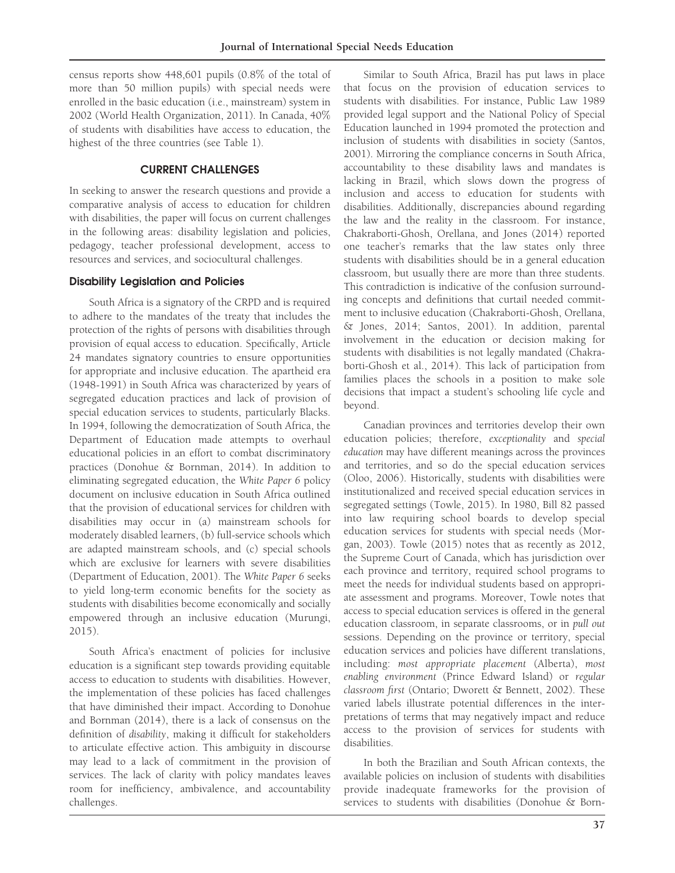census reports show 448,601 pupils (0.8% of the total of more than 50 million pupils) with special needs were enrolled in the basic education (i.e., mainstream) system in 2002 (World Health Organization, 2011). In Canada, 40% of students with disabilities have access to education, the highest of the three countries (see Table 1).

# CURRENT CHALLENGES

In seeking to answer the research questions and provide a comparative analysis of access to education for children with disabilities, the paper will focus on current challenges in the following areas: disability legislation and policies, pedagogy, teacher professional development, access to resources and services, and sociocultural challenges.

## Disability Legislation and Policies

South Africa is a signatory of the CRPD and is required to adhere to the mandates of the treaty that includes the protection of the rights of persons with disabilities through provision of equal access to education. Specifically, Article 24 mandates signatory countries to ensure opportunities for appropriate and inclusive education. The apartheid era (1948-1991) in South Africa was characterized by years of segregated education practices and lack of provision of special education services to students, particularly Blacks. In 1994, following the democratization of South Africa, the Department of Education made attempts to overhaul educational policies in an effort to combat discriminatory practices (Donohue & Bornman, 2014). In addition to eliminating segregated education, the White Paper 6 policy document on inclusive education in South Africa outlined that the provision of educational services for children with disabilities may occur in (a) mainstream schools for moderately disabled learners, (b) full-service schools which are adapted mainstream schools, and (c) special schools which are exclusive for learners with severe disabilities (Department of Education, 2001). The White Paper 6 seeks to yield long-term economic benefits for the society as students with disabilities become economically and socially empowered through an inclusive education (Murungi, 2015).

South Africa's enactment of policies for inclusive education is a significant step towards providing equitable access to education to students with disabilities. However, the implementation of these policies has faced challenges that have diminished their impact. According to Donohue and Bornman (2014), there is a lack of consensus on the definition of disability, making it difficult for stakeholders to articulate effective action. This ambiguity in discourse may lead to a lack of commitment in the provision of services. The lack of clarity with policy mandates leaves room for inefficiency, ambivalence, and accountability challenges.

Similar to South Africa, Brazil has put laws in place that focus on the provision of education services to students with disabilities. For instance, Public Law 1989 provided legal support and the National Policy of Special Education launched in 1994 promoted the protection and inclusion of students with disabilities in society (Santos, 2001). Mirroring the compliance concerns in South Africa, accountability to these disability laws and mandates is lacking in Brazil, which slows down the progress of inclusion and access to education for students with disabilities. Additionally, discrepancies abound regarding the law and the reality in the classroom. For instance, Chakraborti-Ghosh, Orellana, and Jones (2014) reported one teacher's remarks that the law states only three students with disabilities should be in a general education classroom, but usually there are more than three students. This contradiction is indicative of the confusion surrounding concepts and definitions that curtail needed commitment to inclusive education (Chakraborti-Ghosh, Orellana, & Jones, 2014; Santos, 2001). In addition, parental involvement in the education or decision making for students with disabilities is not legally mandated (Chakraborti-Ghosh et al., 2014). This lack of participation from families places the schools in a position to make sole decisions that impact a student's schooling life cycle and beyond.

Canadian provinces and territories develop their own education policies; therefore, exceptionality and special education may have different meanings across the provinces and territories, and so do the special education services (Oloo, 2006). Historically, students with disabilities were institutionalized and received special education services in segregated settings (Towle, 2015). In 1980, Bill 82 passed into law requiring school boards to develop special education services for students with special needs (Morgan, 2003). Towle (2015) notes that as recently as 2012, the Supreme Court of Canada, which has jurisdiction over each province and territory, required school programs to meet the needs for individual students based on appropriate assessment and programs. Moreover, Towle notes that access to special education services is offered in the general education classroom, in separate classrooms, or in pull out sessions. Depending on the province or territory, special education services and policies have different translations, including: most appropriate placement (Alberta), most enabling environment (Prince Edward Island) or regular classroom first (Ontario; Dworett & Bennett, 2002). These varied labels illustrate potential differences in the interpretations of terms that may negatively impact and reduce access to the provision of services for students with disabilities.

In both the Brazilian and South African contexts, the available policies on inclusion of students with disabilities provide inadequate frameworks for the provision of services to students with disabilities (Donohue & Born-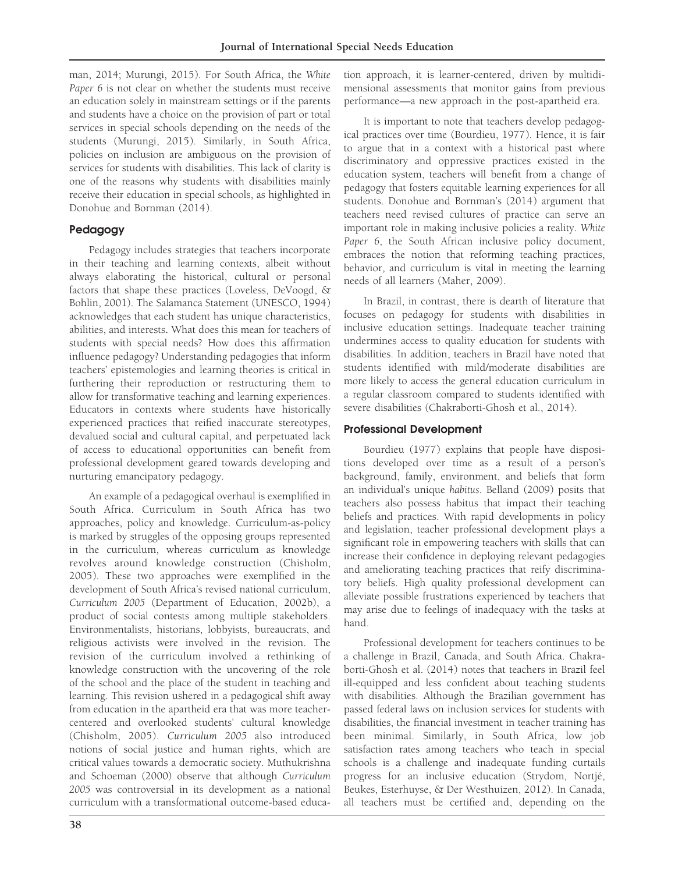man, 2014; Murungi, 2015). For South Africa, the White Paper 6 is not clear on whether the students must receive an education solely in mainstream settings or if the parents and students have a choice on the provision of part or total services in special schools depending on the needs of the students (Murungi, 2015). Similarly, in South Africa, policies on inclusion are ambiguous on the provision of services for students with disabilities. This lack of clarity is one of the reasons why students with disabilities mainly receive their education in special schools, as highlighted in Donohue and Bornman (2014).

# Pedagogy

Pedagogy includes strategies that teachers incorporate in their teaching and learning contexts, albeit without always elaborating the historical, cultural or personal factors that shape these practices (Loveless, DeVoogd, & Bohlin, 2001). The Salamanca Statement (UNESCO, 1994) acknowledges that each student has unique characteristics, abilities, and interests. What does this mean for teachers of students with special needs? How does this affirmation influence pedagogy? Understanding pedagogies that inform teachers' epistemologies and learning theories is critical in furthering their reproduction or restructuring them to allow for transformative teaching and learning experiences. Educators in contexts where students have historically experienced practices that reified inaccurate stereotypes, devalued social and cultural capital, and perpetuated lack of access to educational opportunities can benefit from professional development geared towards developing and nurturing emancipatory pedagogy.

An example of a pedagogical overhaul is exemplified in South Africa. Curriculum in South Africa has two approaches, policy and knowledge. Curriculum-as-policy is marked by struggles of the opposing groups represented in the curriculum, whereas curriculum as knowledge revolves around knowledge construction (Chisholm, 2005). These two approaches were exemplified in the development of South Africa's revised national curriculum, Curriculum 2005 (Department of Education, 2002b), a product of social contests among multiple stakeholders. Environmentalists, historians, lobbyists, bureaucrats, and religious activists were involved in the revision. The revision of the curriculum involved a rethinking of knowledge construction with the uncovering of the role of the school and the place of the student in teaching and learning. This revision ushered in a pedagogical shift away from education in the apartheid era that was more teachercentered and overlooked students' cultural knowledge (Chisholm, 2005). Curriculum 2005 also introduced notions of social justice and human rights, which are critical values towards a democratic society. Muthukrishna and Schoeman (2000) observe that although Curriculum 2005 was controversial in its development as a national curriculum with a transformational outcome-based education approach, it is learner-centered, driven by multidimensional assessments that monitor gains from previous performance—a new approach in the post-apartheid era.

It is important to note that teachers develop pedagogical practices over time (Bourdieu, 1977). Hence, it is fair to argue that in a context with a historical past where discriminatory and oppressive practices existed in the education system, teachers will benefit from a change of pedagogy that fosters equitable learning experiences for all students. Donohue and Bornman's (2014) argument that teachers need revised cultures of practice can serve an important role in making inclusive policies a reality. White Paper 6, the South African inclusive policy document, embraces the notion that reforming teaching practices, behavior, and curriculum is vital in meeting the learning needs of all learners (Maher, 2009).

In Brazil, in contrast, there is dearth of literature that focuses on pedagogy for students with disabilities in inclusive education settings. Inadequate teacher training undermines access to quality education for students with disabilities. In addition, teachers in Brazil have noted that students identified with mild/moderate disabilities are more likely to access the general education curriculum in a regular classroom compared to students identified with severe disabilities (Chakraborti-Ghosh et al., 2014).

# Professional Development

Bourdieu (1977) explains that people have dispositions developed over time as a result of a person's background, family, environment, and beliefs that form an individual's unique habitus. Belland (2009) posits that teachers also possess habitus that impact their teaching beliefs and practices. With rapid developments in policy and legislation, teacher professional development plays a significant role in empowering teachers with skills that can increase their confidence in deploying relevant pedagogies and ameliorating teaching practices that reify discriminatory beliefs. High quality professional development can alleviate possible frustrations experienced by teachers that may arise due to feelings of inadequacy with the tasks at hand.

Professional development for teachers continues to be a challenge in Brazil, Canada, and South Africa. Chakraborti-Ghosh et al. (2014) notes that teachers in Brazil feel ill-equipped and less confident about teaching students with disabilities. Although the Brazilian government has passed federal laws on inclusion services for students with disabilities, the financial investment in teacher training has been minimal. Similarly, in South Africa, low job satisfaction rates among teachers who teach in special schools is a challenge and inadequate funding curtails progress for an inclusive education (Strydom, Nortjé, Beukes, Esterhuyse, & Der Westhuizen, 2012). In Canada, all teachers must be certified and, depending on the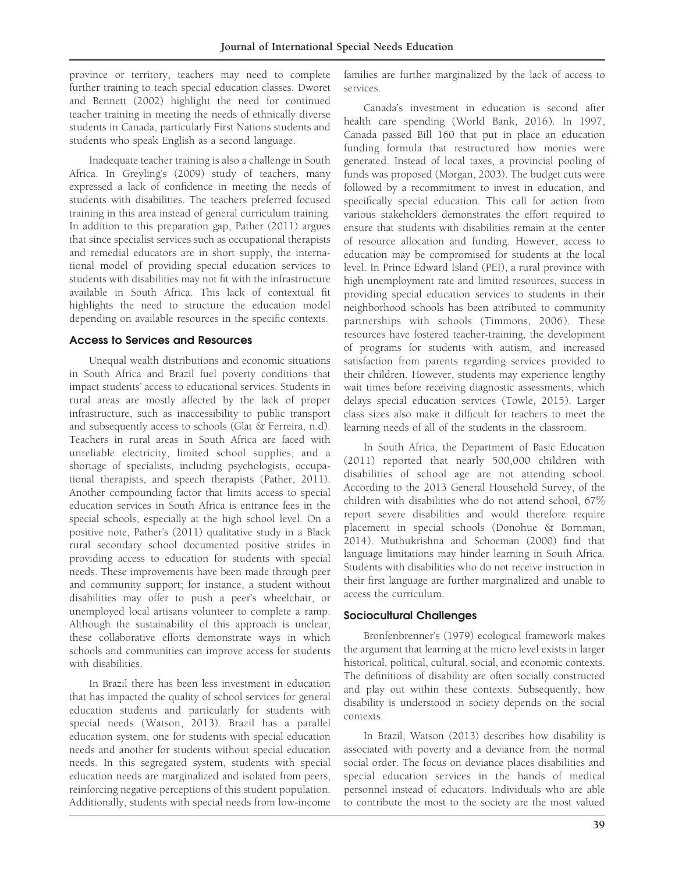province or territory, teachers may need to complete further training to teach special education classes. Dworet and Bennett (2002) highlight the need for continued teacher training in meeting the needs of ethnically diverse students in Canada, particularly First Nations students and students who speak English as a second language.

Inadequate teacher training is also a challenge in South Africa. In Greyling's (2009) study of teachers, many expressed a lack of confidence in meeting the needs of students with disabilities. The teachers preferred focused training in this area instead of general curriculum training. In addition to this preparation gap, Pather (2011) argues that since specialist services such as occupational therapists and remedial educators are in short supply, the international model of providing special education services to students with disabilities may not fit with the infrastructure available in South Africa. This lack of contextual fit highlights the need to structure the education model depending on available resources in the specific contexts.

#### Access to Services and Resources

Unequal wealth distributions and economic situations in South Africa and Brazil fuel poverty conditions that impact students' access to educational services. Students in rural areas are mostly affected by the lack of proper infrastructure, such as inaccessibility to public transport and subsequently access to schools (Glat & Ferreira, n.d). Teachers in rural areas in South Africa are faced with unreliable electricity, limited school supplies, and a shortage of specialists, including psychologists, occupational therapists, and speech therapists (Pather, 2011). Another compounding factor that limits access to special education services in South Africa is entrance fees in the special schools, especially at the high school level. On a positive note, Pather's (2011) qualitative study in a Black rural secondary school documented positive strides in providing access to education for students with special needs. These improvements have been made through peer and community support; for instance, a student without disabilities may offer to push a peer's wheelchair, or unemployed local artisans volunteer to complete a ramp. Although the sustainability of this approach is unclear, these collaborative efforts demonstrate ways in which schools and communities can improve access for students with disabilities.

In Brazil there has been less investment in education that has impacted the quality of school services for general education students and particularly for students with special needs (Watson, 2013). Brazil has a parallel education system, one for students with special education needs and another for students without special education needs. In this segregated system, students with special education needs are marginalized and isolated from peers, reinforcing negative perceptions of this student population. Additionally, students with special needs from low-income

families are further marginalized by the lack of access to services.

Canada's investment in education is second after health care spending (World Bank, 2016). In 1997, Canada passed Bill 160 that put in place an education funding formula that restructured how monies were generated. Instead of local taxes, a provincial pooling of funds was proposed (Morgan, 2003). The budget cuts were followed by a recommitment to invest in education, and specifically special education. This call for action from various stakeholders demonstrates the effort required to ensure that students with disabilities remain at the center of resource allocation and funding. However, access to education may be compromised for students at the local level. In Prince Edward Island (PEI), a rural province with high unemployment rate and limited resources, success in providing special education services to students in their neighborhood schools has been attributed to community partnerships with schools (Timmons, 2006). These resources have fostered teacher-training, the development of programs for students with autism, and increased satisfaction from parents regarding services provided to their children. However, students may experience lengthy wait times before receiving diagnostic assessments, which delays special education services (Towle, 2015). Larger class sizes also make it difficult for teachers to meet the learning needs of all of the students in the classroom.

In South Africa, the Department of Basic Education (2011) reported that nearly 500,000 children with disabilities of school age are not attending school. According to the 2013 General Household Survey, of the children with disabilities who do not attend school, 67% report severe disabilities and would therefore require placement in special schools (Donohue & Bornman, 2014). Muthukrishna and Schoeman (2000) find that language limitations may hinder learning in South Africa. Students with disabilities who do not receive instruction in their first language are further marginalized and unable to access the curriculum.

## Sociocultural Challenges

Bronfenbrenner's (1979) ecological framework makes the argument that learning at the micro level exists in larger historical, political, cultural, social, and economic contexts. The definitions of disability are often socially constructed and play out within these contexts. Subsequently, how disability is understood in society depends on the social contexts.

In Brazil, Watson (2013) describes how disability is associated with poverty and a deviance from the normal social order. The focus on deviance places disabilities and special education services in the hands of medical personnel instead of educators. Individuals who are able to contribute the most to the society are the most valued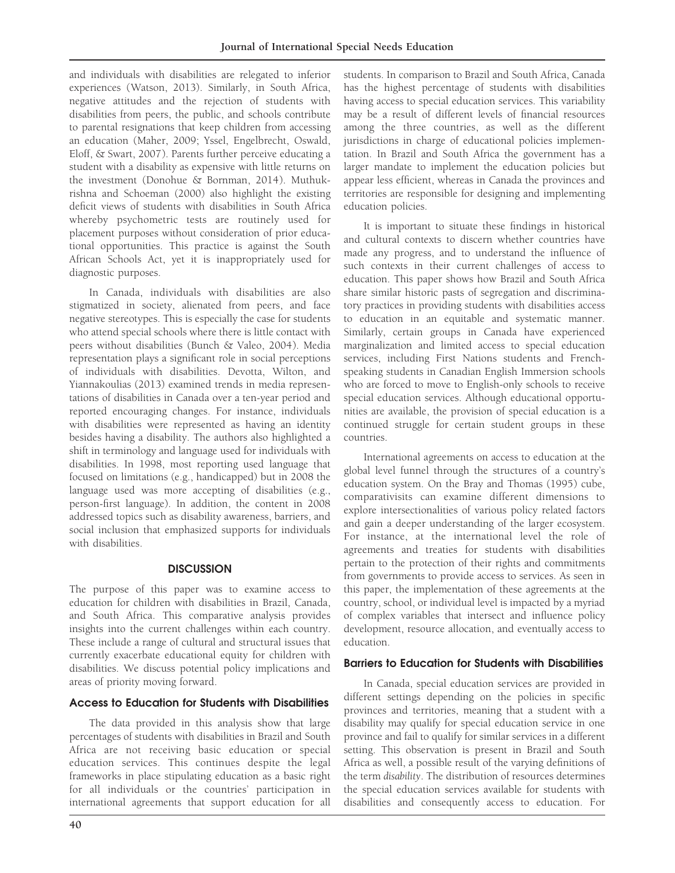and individuals with disabilities are relegated to inferior experiences (Watson, 2013). Similarly, in South Africa, negative attitudes and the rejection of students with disabilities from peers, the public, and schools contribute to parental resignations that keep children from accessing an education (Maher, 2009; Yssel, Engelbrecht, Oswald, Eloff, & Swart, 2007). Parents further perceive educating a student with a disability as expensive with little returns on the investment (Donohue & Bornman, 2014). Muthukrishna and Schoeman (2000) also highlight the existing deficit views of students with disabilities in South Africa whereby psychometric tests are routinely used for placement purposes without consideration of prior educational opportunities. This practice is against the South African Schools Act, yet it is inappropriately used for diagnostic purposes.

In Canada, individuals with disabilities are also stigmatized in society, alienated from peers, and face negative stereotypes. This is especially the case for students who attend special schools where there is little contact with peers without disabilities (Bunch & Valeo, 2004). Media representation plays a significant role in social perceptions of individuals with disabilities. Devotta, Wilton, and Yiannakoulias (2013) examined trends in media representations of disabilities in Canada over a ten-year period and reported encouraging changes. For instance, individuals with disabilities were represented as having an identity besides having a disability. The authors also highlighted a shift in terminology and language used for individuals with disabilities. In 1998, most reporting used language that focused on limitations (e.g., handicapped) but in 2008 the language used was more accepting of disabilities (e.g., person-first language). In addition, the content in 2008 addressed topics such as disability awareness, barriers, and social inclusion that emphasized supports for individuals with disabilities.

# **DISCUSSION**

The purpose of this paper was to examine access to education for children with disabilities in Brazil, Canada, and South Africa. This comparative analysis provides insights into the current challenges within each country. These include a range of cultural and structural issues that currently exacerbate educational equity for children with disabilities. We discuss potential policy implications and areas of priority moving forward.

# Access to Education for Students with Disabilities

The data provided in this analysis show that large percentages of students with disabilities in Brazil and South Africa are not receiving basic education or special education services. This continues despite the legal frameworks in place stipulating education as a basic right for all individuals or the countries' participation in international agreements that support education for all students. In comparison to Brazil and South Africa, Canada has the highest percentage of students with disabilities having access to special education services. This variability may be a result of different levels of financial resources among the three countries, as well as the different jurisdictions in charge of educational policies implementation. In Brazil and South Africa the government has a larger mandate to implement the education policies but appear less efficient, whereas in Canada the provinces and territories are responsible for designing and implementing education policies.

It is important to situate these findings in historical and cultural contexts to discern whether countries have made any progress, and to understand the influence of such contexts in their current challenges of access to education. This paper shows how Brazil and South Africa share similar historic pasts of segregation and discriminatory practices in providing students with disabilities access to education in an equitable and systematic manner. Similarly, certain groups in Canada have experienced marginalization and limited access to special education services, including First Nations students and Frenchspeaking students in Canadian English Immersion schools who are forced to move to English-only schools to receive special education services. Although educational opportunities are available, the provision of special education is a continued struggle for certain student groups in these countries.

International agreements on access to education at the global level funnel through the structures of a country's education system. On the Bray and Thomas (1995) cube, comparativisits can examine different dimensions to explore intersectionalities of various policy related factors and gain a deeper understanding of the larger ecosystem. For instance, at the international level the role of agreements and treaties for students with disabilities pertain to the protection of their rights and commitments from governments to provide access to services. As seen in this paper, the implementation of these agreements at the country, school, or individual level is impacted by a myriad of complex variables that intersect and influence policy development, resource allocation, and eventually access to education.

# Barriers to Education for Students with Disabilities

In Canada, special education services are provided in different settings depending on the policies in specific provinces and territories, meaning that a student with a disability may qualify for special education service in one province and fail to qualify for similar services in a different setting. This observation is present in Brazil and South Africa as well, a possible result of the varying definitions of the term disability. The distribution of resources determines the special education services available for students with disabilities and consequently access to education. For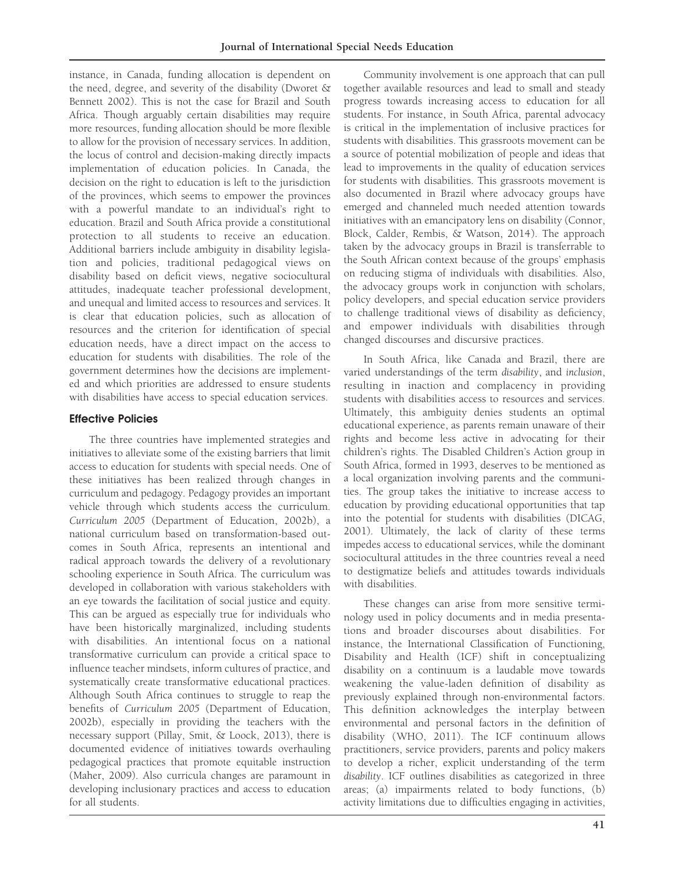instance, in Canada, funding allocation is dependent on the need, degree, and severity of the disability (Dworet & Bennett 2002). This is not the case for Brazil and South Africa. Though arguably certain disabilities may require more resources, funding allocation should be more flexible to allow for the provision of necessary services. In addition, the locus of control and decision-making directly impacts implementation of education policies. In Canada, the decision on the right to education is left to the jurisdiction of the provinces, which seems to empower the provinces with a powerful mandate to an individual's right to education. Brazil and South Africa provide a constitutional protection to all students to receive an education. Additional barriers include ambiguity in disability legislation and policies, traditional pedagogical views on disability based on deficit views, negative sociocultural attitudes, inadequate teacher professional development, and unequal and limited access to resources and services. It is clear that education policies, such as allocation of resources and the criterion for identification of special education needs, have a direct impact on the access to education for students with disabilities. The role of the government determines how the decisions are implemented and which priorities are addressed to ensure students with disabilities have access to special education services.

## Effective Policies

The three countries have implemented strategies and initiatives to alleviate some of the existing barriers that limit access to education for students with special needs. One of these initiatives has been realized through changes in curriculum and pedagogy. Pedagogy provides an important vehicle through which students access the curriculum. Curriculum 2005 (Department of Education, 2002b), a national curriculum based on transformation-based outcomes in South Africa, represents an intentional and radical approach towards the delivery of a revolutionary schooling experience in South Africa. The curriculum was developed in collaboration with various stakeholders with an eye towards the facilitation of social justice and equity. This can be argued as especially true for individuals who have been historically marginalized, including students with disabilities. An intentional focus on a national transformative curriculum can provide a critical space to influence teacher mindsets, inform cultures of practice, and systematically create transformative educational practices. Although South Africa continues to struggle to reap the benefits of Curriculum 2005 (Department of Education, 2002b), especially in providing the teachers with the necessary support (Pillay, Smit, & Loock, 2013), there is documented evidence of initiatives towards overhauling pedagogical practices that promote equitable instruction (Maher, 2009). Also curricula changes are paramount in developing inclusionary practices and access to education for all students.

Community involvement is one approach that can pull together available resources and lead to small and steady progress towards increasing access to education for all students. For instance, in South Africa, parental advocacy is critical in the implementation of inclusive practices for students with disabilities. This grassroots movement can be a source of potential mobilization of people and ideas that lead to improvements in the quality of education services for students with disabilities. This grassroots movement is also documented in Brazil where advocacy groups have emerged and channeled much needed attention towards initiatives with an emancipatory lens on disability (Connor, Block, Calder, Rembis, & Watson, 2014). The approach taken by the advocacy groups in Brazil is transferrable to the South African context because of the groups' emphasis on reducing stigma of individuals with disabilities. Also, the advocacy groups work in conjunction with scholars, policy developers, and special education service providers to challenge traditional views of disability as deficiency, and empower individuals with disabilities through changed discourses and discursive practices.

In South Africa, like Canada and Brazil, there are varied understandings of the term disability, and inclusion, resulting in inaction and complacency in providing students with disabilities access to resources and services. Ultimately, this ambiguity denies students an optimal educational experience, as parents remain unaware of their rights and become less active in advocating for their children's rights. The Disabled Children's Action group in South Africa, formed in 1993, deserves to be mentioned as a local organization involving parents and the communities. The group takes the initiative to increase access to education by providing educational opportunities that tap into the potential for students with disabilities (DICAG, 2001). Ultimately, the lack of clarity of these terms impedes access to educational services, while the dominant sociocultural attitudes in the three countries reveal a need to destigmatize beliefs and attitudes towards individuals with disabilities.

These changes can arise from more sensitive terminology used in policy documents and in media presentations and broader discourses about disabilities. For instance, the International Classification of Functioning, Disability and Health (ICF) shift in conceptualizing disability on a continuum is a laudable move towards weakening the value-laden definition of disability as previously explained through non-environmental factors. This definition acknowledges the interplay between environmental and personal factors in the definition of disability (WHO, 2011). The ICF continuum allows practitioners, service providers, parents and policy makers to develop a richer, explicit understanding of the term disability. ICF outlines disabilities as categorized in three areas; (a) impairments related to body functions, (b) activity limitations due to difficulties engaging in activities,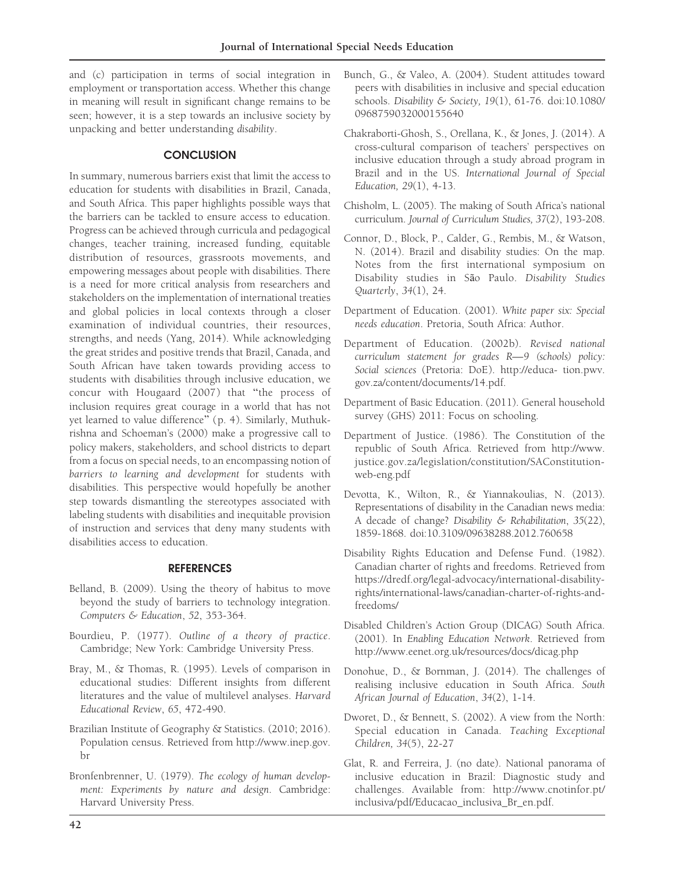and (c) participation in terms of social integration in employment or transportation access. Whether this change in meaning will result in significant change remains to be seen; however, it is a step towards an inclusive society by unpacking and better understanding disability.

#### **CONCLUSION**

In summary, numerous barriers exist that limit the access to education for students with disabilities in Brazil, Canada, and South Africa. This paper highlights possible ways that the barriers can be tackled to ensure access to education. Progress can be achieved through curricula and pedagogical changes, teacher training, increased funding, equitable distribution of resources, grassroots movements, and empowering messages about people with disabilities. There is a need for more critical analysis from researchers and stakeholders on the implementation of international treaties and global policies in local contexts through a closer examination of individual countries, their resources, strengths, and needs (Yang, 2014). While acknowledging the great strides and positive trends that Brazil, Canada, and South African have taken towards providing access to students with disabilities through inclusive education, we concur with Hougaard (2007) that ''the process of inclusion requires great courage in a world that has not yet learned to value difference'' (p. 4). Similarly, Muthukrishna and Schoeman's (2000) make a progressive call to policy makers, stakeholders, and school districts to depart from a focus on special needs, to an encompassing notion of barriers to learning and development for students with disabilities. This perspective would hopefully be another step towards dismantling the stereotypes associated with labeling students with disabilities and inequitable provision of instruction and services that deny many students with disabilities access to education.

#### **REFERENCES**

- Belland, B. (2009). Using the theory of habitus to move beyond the study of barriers to technology integration. Computers & Education, 52, 353-364.
- Bourdieu, P. (1977). Outline of a theory of practice. Cambridge; New York: Cambridge University Press.
- Bray, M., & Thomas, R. (1995). Levels of comparison in educational studies: Different insights from different literatures and the value of multilevel analyses. Harvard Educational Review, 65, 472-490.
- Brazilian Institute of Geography & Statistics. (2010; 2016). Population census. Retrieved from http://www.inep.gov. br
- Bronfenbrenner, U. (1979). The ecology of human development: Experiments by nature and design. Cambridge: Harvard University Press.
- Bunch, G., & Valeo, A. (2004). Student attitudes toward peers with disabilities in inclusive and special education schools. Disability & Society, 19(1), 61-76. doi:10.1080/ 0968759032000155640
- Chakraborti-Ghosh, S., Orellana, K., & Jones, J. (2014). A cross-cultural comparison of teachers' perspectives on inclusive education through a study abroad program in Brazil and in the US. International Journal of Special Education, 29(1), 4-13.
- Chisholm, L. (2005). The making of South Africa's national curriculum. Journal of Curriculum Studies, 37(2), 193-208.
- Connor, D., Block, P., Calder, G., Rembis, M., & Watson, N. (2014). Brazil and disability studies: On the map. Notes from the first international symposium on Disability studies in São Paulo. Disability Studies Quarterly, 34(1), 24.
- Department of Education. (2001). White paper six: Special needs education. Pretoria, South Africa: Author.
- Department of Education. (2002b). Revised national curriculum statement for grades R—9 (schools) policy: Social sciences (Pretoria: DoE). http://educa- tion.pwv. gov.za/content/documents/14.pdf.
- Department of Basic Education. (2011). General household survey (GHS) 2011: Focus on schooling.
- Department of Justice. (1986). The Constitution of the republic of South Africa. Retrieved from http://www. justice.gov.za/legislation/constitution/SAConstitutionweb-eng.pdf
- Devotta, K., Wilton, R., & Yiannakoulias, N. (2013). Representations of disability in the Canadian news media: A decade of change? Disability & Rehabilitation, 35(22), 1859-1868. doi:10.3109/09638288.2012.760658
- Disability Rights Education and Defense Fund. (1982). Canadian charter of rights and freedoms. Retrieved from https://dredf.org/legal-advocacy/international-disabilityrights/international-laws/canadian-charter-of-rights-andfreedoms/
- Disabled Children's Action Group (DICAG) South Africa. (2001). In Enabling Education Network. Retrieved from http://www.eenet.org.uk/resources/docs/dicag.php
- Donohue, D., & Bornman, J. (2014). The challenges of realising inclusive education in South Africa. South African Journal of Education, 34(2), 1-14.
- Dworet, D., & Bennett, S. (2002). A view from the North: Special education in Canada. Teaching Exceptional Children, 34(5), 22-27
- Glat, R. and Ferreira, J. (no date). National panorama of inclusive education in Brazil: Diagnostic study and challenges. Available from: http://www.cnotinfor.pt/ inclusiva/pdf/Educacao\_inclusiva\_Br\_en.pdf.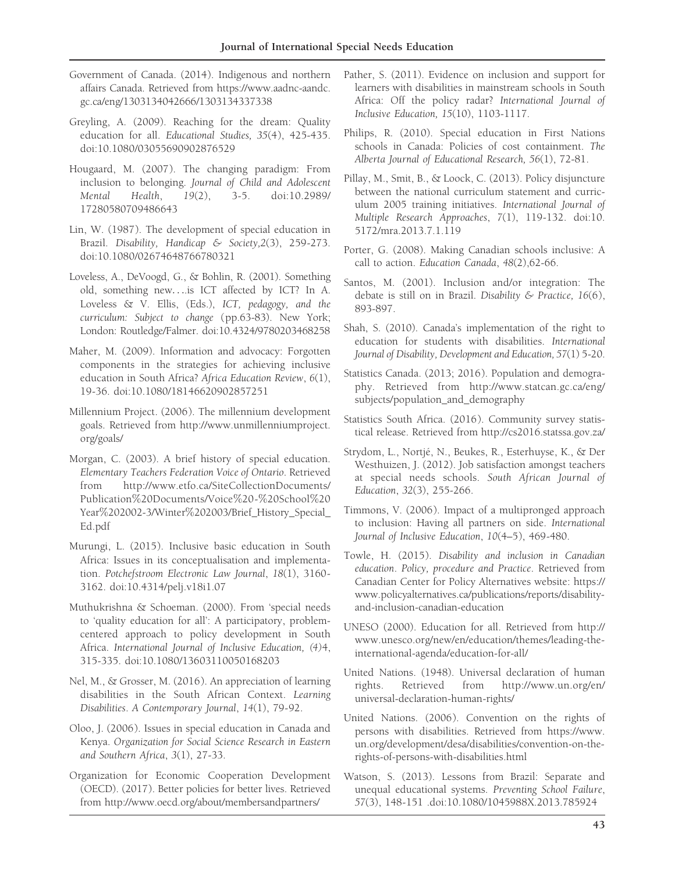- Government of Canada. (2014). Indigenous and northern affairs Canada. Retrieved from https://www.aadnc-aandc. gc.ca/eng/1303134042666/1303134337338
- Greyling, A. (2009). Reaching for the dream: Quality education for all. Educational Studies, 35(4), 425-435. doi:10.1080/03055690902876529
- Hougaard, M. (2007). The changing paradigm: From inclusion to belonging. Journal of Child and Adolescent Mental Health, 19(2), 3-5. doi:10.2989/ 17280580709486643
- Lin, W. (1987). The development of special education in Brazil. Disability, Handicap & Society,2(3), 259-273. doi:10.1080/02674648766780321
- Loveless, A., DeVoogd, G., & Bohlin, R. (2001). Something old, something new....is ICT affected by ICT? In A. Loveless & V. Ellis, (Eds.), ICT, pedagogy, and the curriculum: Subject to change (pp.63-83). New York; London: Routledge/Falmer. doi:10.4324/9780203468258
- Maher, M. (2009). Information and advocacy: Forgotten components in the strategies for achieving inclusive education in South Africa? Africa Education Review, 6(1), 19-36. doi:10.1080/18146620902857251
- Millennium Project. (2006 ). The millennium development goals. Retrieved from http://www.unmillenniumproject. org/goals/
- Morgan, C. (2003). A brief history of special education. Elementary Teachers Federation Voice of Ontario. Retrieved from http://www.etfo.ca/SiteCollectionDocuments/ Publication%20Documents/Voice%20-%20School%20 Year%202002-3/Winter%202003/Brief\_History\_Special\_ Ed.pdf
- Murungi, L. (2015). Inclusive basic education in South Africa: Issues in its conceptualisation and implementation. Potchefstroom Electronic Law Journal, 18(1), 3160- 3162. doi:10.4314/pelj.v18i1.07
- Muthukrishna & Schoeman. (2000). From 'special needs to 'quality education for all': A participatory, problemcentered approach to policy development in South Africa. International Journal of Inclusive Education, (4)4, 315-335. doi:10.1080/13603110050168203
- Nel, M., & Grosser, M. (2016 ). An appreciation of learning disabilities in the South African Context. Learning Disabilities. A Contemporary Journal, 14(1), 79-92.
- Oloo, J. (2006). Issues in special education in Canada and Kenya. Organization for Social Science Research in Eastern and Southern Africa, 3(1), 27-33.
- Organization for Economic Cooperation Development (OECD). (2017). Better policies for better lives. Retrieved from http://www.oecd.org/about/membersandpartners/
- Pather, S. (2011). Evidence on inclusion and support for learners with disabilities in mainstream schools in South Africa: Off the policy radar? International Journal of Inclusive Education, 15(10), 1103-1117.
- Philips, R. (2010). Special education in First Nations schools in Canada: Policies of cost containment. The Alberta Journal of Educational Research, 56(1), 72-81.
- Pillay, M., Smit, B., & Loock, C. (2013). Policy disjuncture between the national curriculum statement and curriculum 2005 training initiatives. International Journal of Multiple Research Approaches, 7(1), 119-132. doi:10. 5172/mra.2013.7.1.119
- Porter, G. (2008). Making Canadian schools inclusive: A call to action. Education Canada, 48(2),62-66.
- Santos, M. (2001). Inclusion and/or integration: The debate is still on in Brazil. Disability  $\&$  Practice, 16(6), 893-897.
- Shah, S. (2010). Canada's implementation of the right to education for students with disabilities. International Journal of Disability, Development and Education, 57(1) 5-20.
- Statistics Canada. (2013; 2016). Population and demography. Retrieved from http://www.statcan.gc.ca/eng/ subjects/population\_and\_demography
- Statistics South Africa. (2016 ). Community survey statistical release. Retrieved from http://cs2016.statssa.gov.za/
- Strydom, L., Nortjé, N., Beukes, R., Esterhuyse, K., & Der Westhuizen, J. (2012). Job satisfaction amongst teachers at special needs schools. South African Journal of Education, 32(3), 255-266.
- Timmons, V. (2006). Impact of a multipronged approach to inclusion: Having all partners on side. International Journal of Inclusive Education, 10(4–5), 469-480.
- Towle, H. (2015). Disability and inclusion in Canadian education. Policy, procedure and Practice. Retrieved from Canadian Center for Policy Alternatives website: https:// www.policyalternatives.ca/publications/reports/disabilityand-inclusion-canadian-education
- UNESO (2000). Education for all. Retrieved from http:// www.unesco.org/new/en/education/themes/leading-theinternational-agenda/education-for-all/
- United Nations. (1948). Universal declaration of human rights. Retrieved from http://www.un.org/en/ universal-declaration-human-rights/
- United Nations. (2006). Convention on the rights of persons with disabilities. Retrieved from https://www. un.org/development/desa/disabilities/convention-on-therights-of-persons-with-disabilities.html
- Watson, S. (2013). Lessons from Brazil: Separate and unequal educational systems. Preventing School Failure, 57(3), 148-151 .doi:10.1080/1045988X.2013.785924